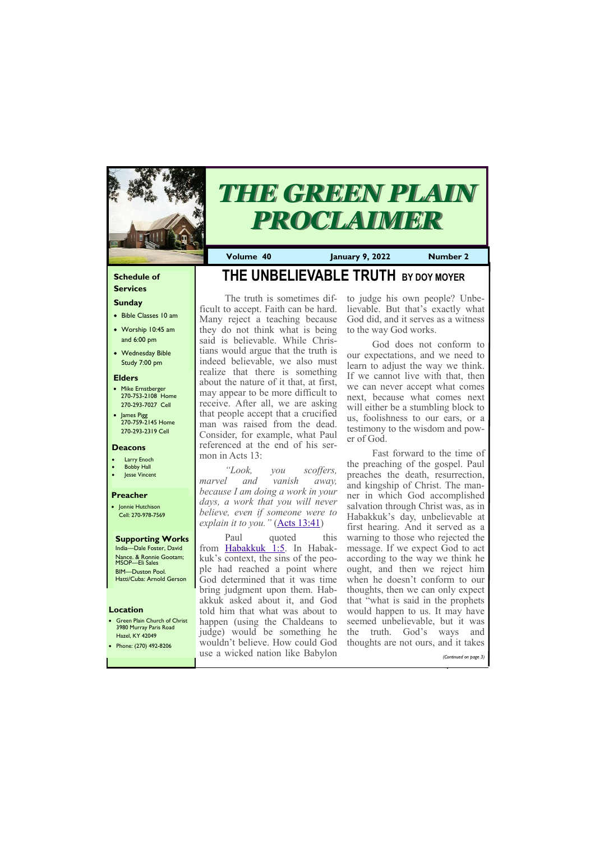### **Schedule of Services**

# **Sunday**

- Bible Classes 10 am
- Worship 10:45 am and 6:00 pm
- Wednesday Bible Study 7:00 pm

• Green Plain Church of Christ 3980 Murray Paris Road  $H<sub>270</sub>$  KY 42049

### **Elders**

- Mike Ernstberger 270-753-2108 Home 270-293-7027 Cell
- James Pigg 270-759-2145 Home 270-293-2319 Cell

### **Location**



# *THE GREEN PLAIN PROCLAIMER*

**Volume 40 January 9, 2022 Number 2**

### **Deacons**

- **Larry Enoch**
- **Bobby Hall**
- Jesse Vincent

### **Preacher**

• Jonnie Hutchison Cell: 270-978-7569

# **Supporting Works**

India—Dale Foster, David Nance. & Ronnie Gootam; MSOP—Eli Sales BIM—Duston Pool. Hatti/Cuba: Arnold Gerson

# **THE UNBELIEVABLE TRUTH BY DOY MOYER**

Paul quoted this from [Habakkuk 1:5.](https://biblia.com/bible/nasb95/Hab%201.5) In Habakkuk's context, the sins of the people had reached a point where God determined that it was time bring judgment upon them. Habakkuk asked about it, and God told him that what was about to happen (using the Chaldeans to judge) would be something he

The truth is sometimes difficult to accept. Faith can be hard. Many reject a teaching because they do not think what is being said is believable. While Christians would argue that the truth is indeed believable, we also must realize that there is something about the nature of it that, at first, may appear to be more difficult to receive. After all, we are asking that people accept that a crucified man was raised from the dead. Consider, for example, what Paul referenced at the end of his sermon in Acts 13:

*"Look, you scoffers, marvel and vanish away, because I am doing a work in your days, a work that you will never believe, even if someone were to explain it to you."* [\(Acts 13:41\)](https://biblia.com/bible/nasb95/Acts%2013.41)

| TIAZER IN FIZUTZ<br>• Phone: $(270)$ 492-8206 |                                  | wouldn't believe. How could God thoughts are not ours, and it takes |
|-----------------------------------------------|----------------------------------|---------------------------------------------------------------------|
|                                               | use a wicked nation like Babylon | (Continued on page 3)                                               |

to judge his own people? Unbelievable. But that's exactly what God did, and it serves as a witness to the way God works.

God does not conform to our expectations, and we need to learn to adjust the way we think. If we cannot live with that, then we can never accept what comes next, because what comes next will either be a stumbling block to us, foolishness to our ears, or a testimony to the wisdom and power of God.

Fast forward to the time of the preaching of the gospel. Paul preaches the death, resurrection, and kingship of Christ. The manner in which God accomplished salvation through Christ was, as in Habakkuk's day, unbelievable at first hearing. And it served as a warning to those who rejected the message. If we expect God to act according to the way we think he ought, and then we reject him when he doesn't conform to our thoughts, then we can only expect that "what is said in the prophets would happen to us. It may have seemed unbelievable, but it was the truth. God's ways and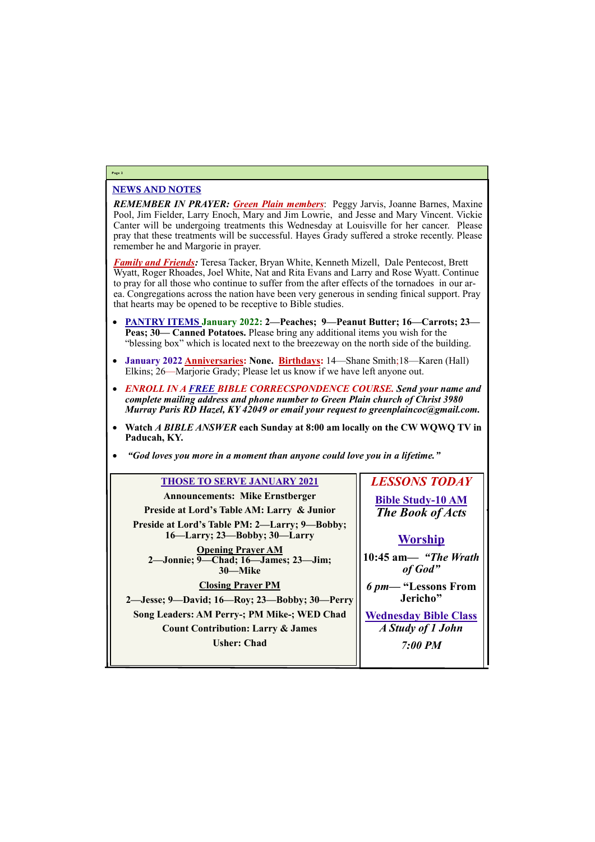# NEWS AND NOTES

*REMEMBER IN PRAYER: Green Plain members*: Peggy Jarvis, Joanne Barnes, Maxine Pool, Jim Fielder, Larry Enoch, Mary and Jim Lowrie, and Jesse and Mary Vincent. Vickie Canter will be undergoing treatments this Wednesday at Louisville for her cancer. Please pray that these treatments will be successful. Hayes Grady suffered a stroke recently. Please remember he and Margorie in prayer.

*Family and Friends:* Teresa Tacker, Bryan White, Kenneth Mizell, Dale Pentecost, Brett Wyatt, Roger Rhoades, Joel White, Nat and Rita Evans and Larry and Rose Wyatt. Continue to pray for all those who continue to suffer from the after effects of the tornadoes in our area. Congregations across the nation have been very generous in sending finical support. Pray that hearts may be opened to be receptive to Bible studies.

- **PANTRY ITEMS January 2022: 2—Peaches; 9—Peanut Butter; 16—Carrots; 23— Peas; 30— Canned Potatoes.** Please bring any additional items you wish for the "blessing box" which is located next to the breezeway on the north side of the building.
- **January 2022 Anniversaries: None. Birthdays:** 14—Shane Smith;18—Karen (Hall) Elkins; 26—Marjorie Grady; Please let us know if we have left anyone out.
- *ENROLL IN A FREE BIBLE CORRECSPONDENCE COURSE. Send your name and complete mailing address and phone number to Green Plain church of Christ 3980 Murray Paris RD Hazel, KY 42049 or email your request to greenplaincoc@gmail.com.*
- **Watch** *A BIBLE ANSWER* **each Sunday at 8:00 am locally on the CW WQWQ TV in Paducah, KY.**
- *"God loves you more in a moment than anyone could love you in a lifetime."*

# **Page 2**

| <b>THOSE TO SERVE JANUARY 2021</b>                                                     | <b>LESSONS TODAY</b>             |
|----------------------------------------------------------------------------------------|----------------------------------|
| <b>Announcements: Mike Ernstberger</b>                                                 | <b>Bible Study-10 AM</b>         |
| Preside at Lord's Table AM: Larry & Junior                                             | <b>The Book of Acts</b>          |
| Preside at Lord's Table PM: 2-Larry; 9-Bobby;<br>$16$ —Larry; $23$ —Bobby; $30$ —Larry | <b>Worship</b>                   |
| <b>Opening Prayer AM</b><br>2-Jonnie; 9-Chad; 16-James; 23-Jim;<br>30-Mike             | 10:45 am— "The Wrath"<br>of God" |
| <b>Closing Prayer PM</b>                                                               | 6 pm— "Lessons From              |
| 2—Jesse; 9—David; 16—Roy; 23—Bobby; 30—Perry                                           | Jericho"                         |
| Song Leaders: AM Perry-; PM Mike-; WED Chad                                            | <b>Wednesday Bible Class</b>     |
| <b>Count Contribution: Larry &amp; James</b>                                           | A Study of 1 John                |

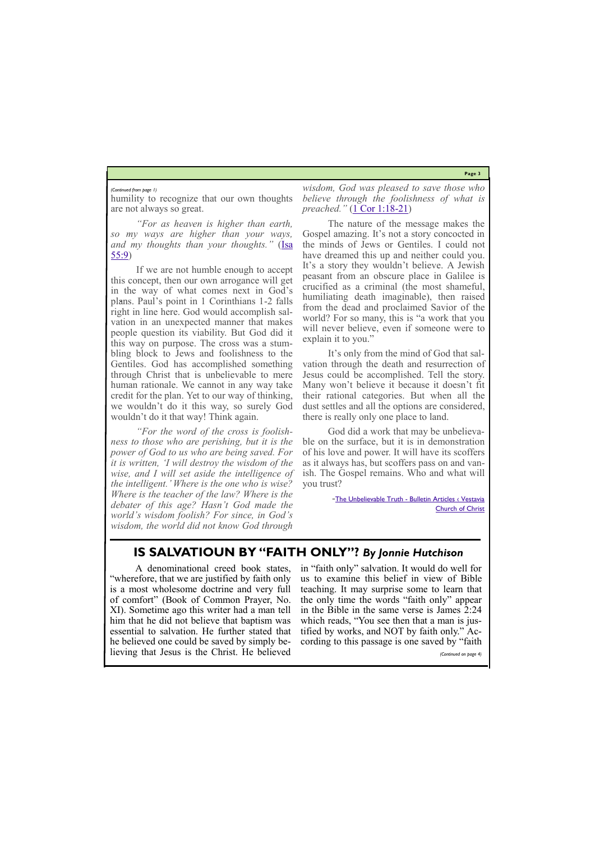**Page 3**

humility to recognize that our own thoughts are not always so great.

*"For as heaven is higher than earth, so my ways are higher than your ways, and my thoughts than your thoughts."* [\(Isa](https://biblia.com/bible/nasb95/Isa%2055.9)  [55:9\)](https://biblia.com/bible/nasb95/Isa%2055.9)

If we are not humble enough to accept this concept, then our own arrogance will get in the way of what comes next in God's plans. Paul's point in 1 Corinthians 1-2 falls right in line here. God would accomplish salvation in an unexpected manner that makes people question its viability. But God did it this way on purpose. The cross was a stumbling block to Jews and foolishness to the Gentiles. God has accomplished something through Christ that is unbelievable to mere human rationale. We cannot in any way take credit for the plan. Yet to our way of thinking, we wouldn't do it this way, so surely God wouldn't do it that way! Think again.

*"For the word of the cross is foolishness to those who are perishing, but it is the power of God to us who are being saved. For it is written, 'I will destroy the wisdom of the wise, and I will set aside the intelligence of the intelligent.' Where is the one who is wise? Where is the teacher of the law? Where is the debater of this age? Hasn't God made the world's wisdom foolish? For since, in God's wisdom, the world did not know God through* 

-The Unbelievable Truth - Bulletin Articles < Vestavia [Church of Christ](https://www.vestaviachurchofchrist.com/resources/articles/2021/12/26/the-unbelievable-truth)

*wisdom, God was pleased to save those who believe through the foolishness of what is preached."* [\(1 Cor 1:18](https://biblia.com/bible/nasb95/1%20Cor%201.18-21)-21)

The nature of the message makes the Gospel amazing. It's not a story concocted in the minds of Jews or Gentiles. I could not have dreamed this up and neither could you. It's a story they wouldn't believe. A Jewish peasant from an obscure place in Galilee is crucified as a criminal (the most shameful, humiliating death imaginable), then raised from the dead and proclaimed Savior of the world? For so many, this is "a work that you will never believe, even if someone were to explain it to you."

It's only from the mind of God that salvation through the death and resurrection of Jesus could be accomplished. Tell the story. Many won't believe it because it doesn't fit their rational categories. But when all the dust settles and all the options are considered, there is really only one place to land.

God did a work that may be unbelievable on the surface, but it is in demonstration of his love and power. It will have its scoffers as it always has, but scoffers pass on and vanish. The Gospel remains. Who and what will you trust?

### *(Continued from page 1)*

# **IS SALVATIOUN BY "FAITH ONLY"?** *By Jonnie Hutchison*

A denominational creed book states, "wherefore, that we are justified by faith only is a most wholesome doctrine and very full of comfort" (Book of Common Prayer, No. XI). Sometime ago this writer had a man tell him that he did not believe that baptism was essential to salvation. He further stated that

he believed one could be saved by simply believing that Jesus is the Christ. He believed cording to this passage is one saved by "faith *(Continued on page 4)*

in "faith only" salvation. It would do well for us to examine this belief in view of Bible teaching. It may surprise some to learn that the only time the words "faith only" appear in the Bible in the same verse is James 2:24 which reads, "You see then that a man is justified by works, and NOT by faith only." Ac